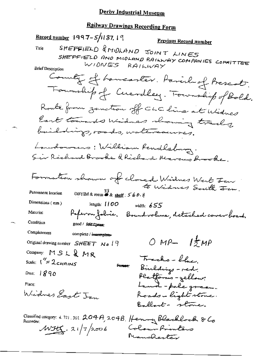# Railway Drawings Recording Form

Record number 1997-5/1187, 19 Previous Record number SHEFFIELD & MIDLAND JOINT LINES Title SHEFFIELD AND MIDLAND RAILWAY COMPANIES COMMITTEE WIDNES RAILWAY **Brief Description** County of homeaster. Parish of Prescot, Fourthip of Cuevalley. Fourthip of Bold. Route from zunction off CLC line at Widnes East towards Widness showing tracks baildings, orado, watercauses. Londowners: William Rendleburg. Sir Richard Brooke & Richard Marcus Brooke. Formation shown of closed Widnes West Fan to Widnes South Fin. DBYIM & room  $\overset{33}{\bullet}$  & shelf :  $560.1$ Permanent location Dimensions (mm) length:  $1100$ width:  $655$ Paperon folice. Bound volume, detached cover board. Material Condition good / fatt treat Completeness complete / incomplete- $OMP-1ZMP$ Original drawing number SHEET No 19 Company: MSL&MR Trecho-blue Scale:  $1'' = 2c$ HAINS Person: Binlding - red. Platforms - yellow:<br>Land - pale green. Date:  $1890$ Place: Widnes East Jan Roads-light stone. Ballant- stone. Classified category: 4.721.301. 204A, 204B. Henny Blacklock & Co  $MH$ ,  $21/7/2006$ Colour Printers Nanchester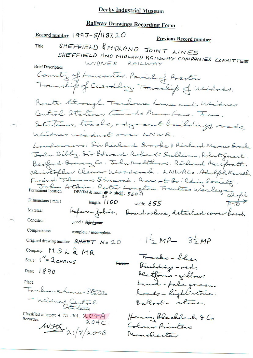# **Railway Drawings Recording Form**

**Record number 1997-5/1187, 20** Previous Record number SHEFFIELD & MIDLAND JOINT LINES Title SHEFFIELD AND MIDLAND RAILWAY COMPANIES COMMITTEE  $WIDNES$ RAILWAY **Brief Description** County of Lancaster. Parish of Preston Township of Cuevalley, Township of Widnes. Roate though Fanhouse Lane and Widnes Central Stations towards Moor Lave Jen. Stations, tracks, adgreeant buildings, roads, Windower viadual over LNWR. Landowners: Sir Richard Brooke & Richard Marcus Brooke John Bibby. Sir Edward Robert Sullivan, Robert Guest. Bedford Brewery Co. Tohn Matthews. Richard Muspratt. christofler Cleever Woodcom.<br>Friend Thomas Simcock. Prescot Building Society.<br>Permanent location Athin. Poter Longton. Frustees Wesley Chofal<br>Permanent location DBYIM&room 38 & shelf: 560.11 christofler Cleever Woodcock. LNWRCo. Adolph Kusel. Material Referan fabric. Bound volume, detached cover board. Condition good / fair / poor Completeness complete / incomplete- $12 MP - 32 MP$ Original drawing number SHEET No 20 Company: MSL & MR Tracks-blue Scale:  $1'' = 2c$ HAINS Binldings - red. Person: Date: 1890 Platforms - yellow: Land-pole green. Place: Fanhouse home States Roads-light stone. - Widnes Central Ballart- stone. Classified category: 4, 721, 301,  $204A$ . Henny Blacklock & Co Recorder:  $204C$  $WJtG = 2(7/2006)$ Colour Prienters Manchenter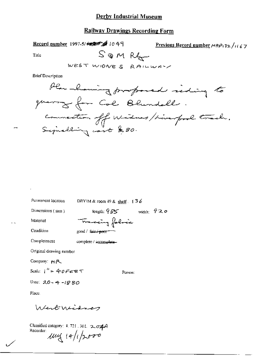## **Railway Drawings Recording Form**

Record number 1997-5/42 4 1049 Previous Record number  $MRP_132 / H67$ SOMRG Title

WEST WIDNES RAILWAY

**Brief Description** 

width:  $920$ 

Person:

DBYIM & room 49 & shelf . 136 length:  $985$ Dimensions (mm) Tracing folice Material Condition good / fair / poor Completeness

complete / incomplete-

Original drawing number

Permanent location

Company: HR

Scale:  $1^{\prime\prime} = 40$ FEET

Date:  $20 - 4 - 1880$ 

Place.

West Widney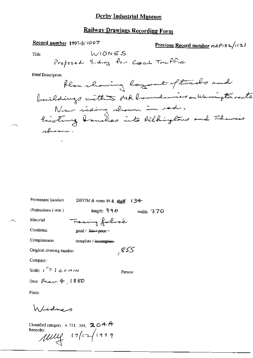# Railway Drawings Recording Form

## Record number 1997-5/1007

Previous Record number  $\exp(i32/)(2)$ 

Title

 $-1$ 

**Brief Description** 

| Permanent location                 | DBYIM & room 49 & shelf: $134$  |
|------------------------------------|---------------------------------|
| $Dimmathbf{Dimensions}$ ( $mm$ )   | length: $990$<br>width: $370$   |
| Material                           | Tracing folice                  |
| Condition                          | good / <del>fair / poor -</del> |
| Completeness                       | complete / incomplete-          |
| Original drawing number            | , 855                           |
| Company:                           |                                 |
| Scale: $i'' \equiv 1 \in F \cap N$ | Person:                         |
| Date: Prair $4,1880$               |                                 |
| Place:                             |                                 |
|                                    |                                 |

Windnes

Classified category: 4.721, 301. 204A<br>Recorder:<br>Mulle 17/17/199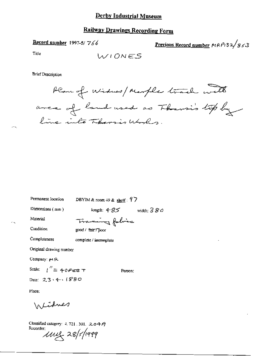# **Railway Drawings Recording Form**

Record number 1997-5/766

Previous Record number MRP132/853

Title

### **Brief Description**

Plan of Widnes/Marple track with area of land used as Tharsi's top by line into Thersis Works.

Permanent location

DBYIM & room 49 & shelf:  $97$ 

Dimensions (mm)

length:  $4-85$  width:  $380$ 

Person:

Material

Traning folice

Condition

Completeness

good / fair / poor

complete / incomplete

Original drawing number

Company: 34 R.

Scale:  $\int_0^{\pi}$  = 40 Fee T

Date: 23.4.1880

Place:

\n Lidnes

Classified category: 4, 721, 301,  $204A$ Recorder:<br>*UVL 28/5/1999*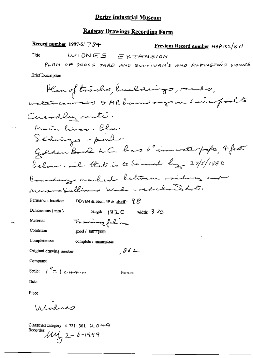# **Railway Drawings Recording Form**

Record number 1997-5/  $\overline{7}$   $\overline{8}$ 4-Previous Record number HRP132/87/ WIDNES EXTENSION Title PLAN OF GOODS YARD AND SULLIVAN'S AND PILKINGTONS SIDINGS **Brief Description** Plan of tracks, buildings, roads, watercourses & MR boundaryson himselts Cuendley vonte. Marin lines - blue Sédings - pond. Golden Bowl L.C. has b"ironwater profe, 4 feet below rail that is to leased by 27/5/1880 Boundary marked between railway and Messo Sullivens whole - redchand dot. Permanent location DBYIM & room 49 & shelf:  $98$ Dimensions (mm) length:  $\sqrt{820}$  width: 370 Tracingfoliac Material Condition good / fatt / poor Completeness complete / incomplete  $862$ Original drawing number Company: Scale:  $\int_{0}^{\pi} f(x) dx$ Person: Date:

*In Lednes* 

Place:

Classified category: 4, 721, 301, 2, 0 4  $\Theta$ Recorder:  $11\frac{1}{2}$  2 - 6 - 1999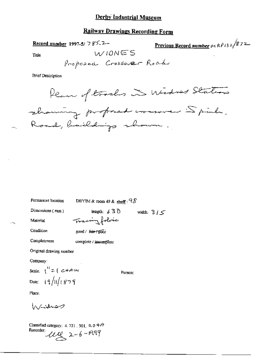### **Railway Drawings Recording Form**

Record number 1997-5/  $785.2-$ 

Previous Record number  $\mu_1$  R $\rho_{13}$  z  $/$ 872

Title

WIONES

**Brief Description** 

Plan of tracks in Widness Station showing proposed conserver Spink, Road, haildings shown.

Permanent location DBYIM & room 49 & shelf :  $28$ length:  $630$  width:  $315$ Dimensions (mm) Tracing folice Material

Condition good / fair / poor

Completeness complete / incomplete

Original drawing number

Company:

Scale:  $1'' = (c + A)$ Date:  $(9)(1879)$ 

Person:

Place:

 $h$  sides  $\varphi$ 

Classified category: 4, 721, 301,  $\alpha$  0 +  $\theta$ Recorder:  $112$  2-6-1999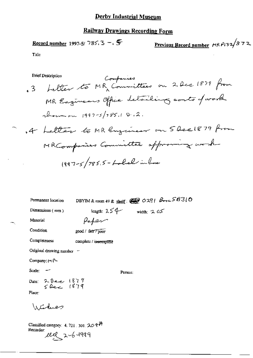# **Railway Drawings Recording Form**

Record number 1997-5/ 785.3 - 
$$
\sqrt{5}
$$

Title

 $\overline{\phantom{a}}$ 

**Brief Description** 

Companies

| Permanent location             |                       | DBYIM & room 49 & shelf: $220291$ $\beta_{12}58310$ |
|--------------------------------|-----------------------|-----------------------------------------------------|
| Dimensions $(m\pi)$            |                       | width: $2.05$                                       |
| Material                       | length: 254<br>Paper  |                                                     |
| Condition                      | good / fair / poor    |                                                     |
| Completeness                   | complete / incomplete |                                                     |
| Original drawing number ~      |                       |                                                     |
| Company: $M$                   |                       |                                                     |
| $Scale:$ $-$                   |                       | Person:                                             |
| Date: 2 Dec 1879<br>5 Rec 1879 |                       |                                                     |
| Place:                         |                       |                                                     |
| <i>Interface</i>               |                       |                                                     |

Classified category: 4, 721, 301,  $20$   $47$ Recorder: 1119 2-6-1999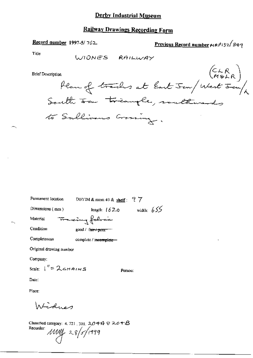# **Railway Drawings Recording Form**

# Record number 1997-5/762

Previous Record number HRP132/849

Title

 $\sim$ 

÷.

**Brief** 

| Description                     |                                               |
|---------------------------------|-----------------------------------------------|
|                                 | m<br>Plan of tracks at East Jem (West Jem / 1 |
| South saw toriangle, southwards |                                               |
| to Sullivans Crossing.          |                                               |

| Permanent Iocation                 | DBYIM & room 49 & shelf : $77$ |              |  |  |
|------------------------------------|--------------------------------|--------------|--|--|
| Dimensions $(mn)$                  | length: $1620$                 | width: $655$ |  |  |
| Material                           | <del>maxing folocie</del>      |              |  |  |
| Condition                          | good / fair + poor ==          |              |  |  |
| Completeness                       | complete / incomplete          |              |  |  |
| Original drawing number            |                                |              |  |  |
| Company:                           |                                |              |  |  |
| Scale: $1'' = 2c$ HAINS<br>Person: |                                |              |  |  |

Date:

Place:

Widnes

Classified category: 4, 721, 301,  $2044722078$ Recorder:  $11114 = 28/5/1999$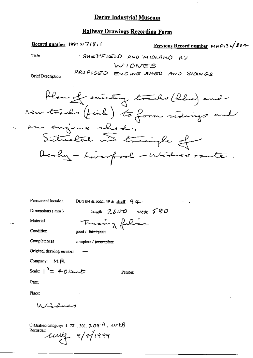### **Railway Drawings Recording Form**

### **Record number 1997-5/7/8.1**

Previous Record number  $mAP/32/804-$ 

Title

SHEPPIEDS AND MIBLAND RY 
$$
W10WES
$$

PROPOSED ENGINE SHED AND SIDINGS

**Brief Description** 



Permanent location

DBYIM & room 49 & shelf: 94-

Dimensions (mm)

length:  $2600$  width:  $580$ Tracing folice

Person:

Material Condition

good / fair-/-poor

Completeness complete / incomplete

Original drawing number

Company:  $M R$ 

Scale:  $1^{\prime\prime}$  = 40 Feet

Date:

Place:

Windney

Classified category: 4, 721, 301,  $7.04A$ ,  $704B$ Recorder une 9/9/1999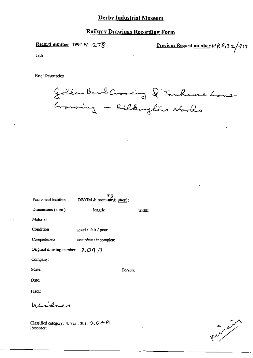# **Railway Drawings Recording Form**

Record number 1997-5/ $12.78$ 

<u>Previous Record number</u>  $MRPI32/817$ 

Title

Recorder;

**Brief Description** 

Golden Bowl Crossing & Fanhouse Lone Grassing - Rilkingtons Works

| Permanent location                             | 53<br>DBYIM & room # & shelf: |         |        |
|------------------------------------------------|-------------------------------|---------|--------|
| Dimensions (mm)                                | Iength:                       |         | width: |
| Material                                       |                               |         |        |
| Condition                                      | good / fair / poor            |         |        |
| Completeness                                   | complete / incomplete         |         |        |
| Original drawing number $204A$                 |                               |         |        |
| Company:                                       |                               |         |        |
| Scale:                                         |                               | Person: |        |
| Date:                                          |                               |         |        |
| Place:                                         |                               |         |        |
| Alidnes                                        |                               |         |        |
| Classified category: 4, 721, 301, $\sim$ 0 4 A |                               |         |        |

متهمهم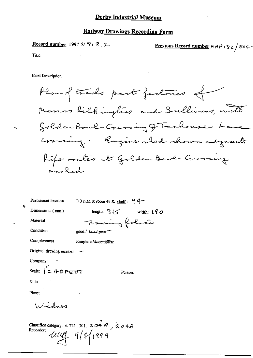### **Railway Drawings Recording Form**

**Record number 1997-5/718.2** 

**Previous Record number**  $MRP$   $32/804$ 

Title

**Brief Description** 

Plan of tracks part factories of Messos Rilhingtons and Sullivans, with Golden Bowl Crassing of Fanhouse Lane Craming: Rugine sled shown adjoint. Rife rates at Golden Bowl Growing aranked.

DBYIM & room 49 & shelf:  $94-$ Permanent location length:  $3/5$  width:  $190$ Dimensions (mm) Tracing folocie Material Condition good / fair / poor-Completeness complete / incomplete Original drawing number Company: Scale:  $1^{\prime\prime}$  = 40 Feret Person: Date: Place: Windnes

Classified category: 4.721.301. 204A, 204B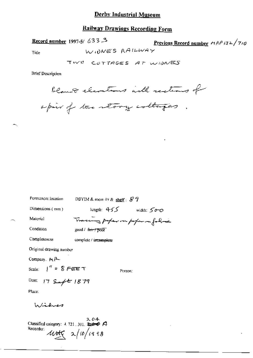## **Railway Drawings Recording Form**

Record number 1997-5/633.3

Previous Record number  $MRP/32/7/0$ 

Title

WIDNES RAILWAY

**Brief Description** 

bland elections with rections of

a poir of two story collages.

| Permanent focation       | DBYIM & room 49 & shelf: $87$                                                                                                                                                                                                                                                                                        |            |  |
|--------------------------|----------------------------------------------------------------------------------------------------------------------------------------------------------------------------------------------------------------------------------------------------------------------------------------------------------------------|------------|--|
| Dimensions $(mn)$        | length: $455$                                                                                                                                                                                                                                                                                                        | width: 500 |  |
| Material                 | Tracing proper on paper on folia                                                                                                                                                                                                                                                                                     |            |  |
| Condition                | $\text{good}/\text{f}$ $\text{f}$ $\text{f}$ $\text{p}$ $\text{f}$ $\text{f}$ $\text{f}$ $\text{f}$ $\text{f}$ $\text{f}$ $\text{f}$ $\text{f}$ $\text{f}$ $\text{f}$ $\text{f}$ $\text{f}$ $\text{f}$ $\text{f}$ $\text{f}$ $\text{f}$ $\text{f}$ $\text{f}$ $\text{f}$ $\text{f}$ $\text{f}$ $\text{f}$ $\text{f}$ |            |  |
| Completeness             | complete / incomplete                                                                                                                                                                                                                                                                                                |            |  |
| Original drawing number  |                                                                                                                                                                                                                                                                                                                      |            |  |
| Company. MP-             |                                                                                                                                                                                                                                                                                                                      |            |  |
| Scale: $\int'' = 8$ FEET | Person:                                                                                                                                                                                                                                                                                                              |            |  |
| Date: 17 Sept 1879       |                                                                                                                                                                                                                                                                                                                      |            |  |
| Place:                   |                                                                                                                                                                                                                                                                                                                      |            |  |
| Wirlwer                  |                                                                                                                                                                                                                                                                                                                      |            |  |

2, 04<br>Classified category: 4, 721, 301,  $\overline{2.04}$ Recorder  $wdt$   $\sim$  10/1998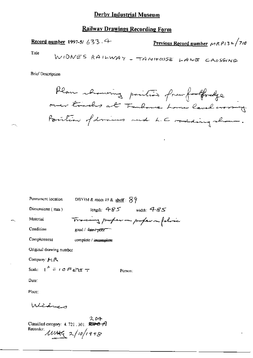## **Railway Drawings Recording Form**

Previous Record number  $\sqrt{710}$ Record number 1997-5/ 633.4

Title

**Brief Description** 

Plan showing position from fortfordge over tracks at Faulance Louis level around Position of draws and L.C redding show.

| Permanent location                     | DBYIM & room 49 & shelf: $89$      |  |  |  |
|----------------------------------------|------------------------------------|--|--|--|
| Dimensions (mm)                        | Iength: $485$ width: $485$         |  |  |  |
| Material                               | Tracing proper in proper in folice |  |  |  |
| Condition                              | good / fair / poor                 |  |  |  |
| Completeness                           | complete / incomplete              |  |  |  |
| Original drawing number                |                                    |  |  |  |
| Company $H \mathcal{R}$                |                                    |  |  |  |
| Scale: $1'' = 10$ FeM $\pm$<br>Person: |                                    |  |  |  |
| Date :                                 |                                    |  |  |  |
| Place:                                 |                                    |  |  |  |
| سيستمش                                 |                                    |  |  |  |
|                                        | 204                                |  |  |  |

Classified category: 4, 721, 301,  $\leftrightarrow$   $\leftrightarrow$   $\rightarrow$   $\rightarrow$ 

Recorder:  $\mu$  $\mu$  $\alpha$  $\alpha$   $\alpha$  /10/1998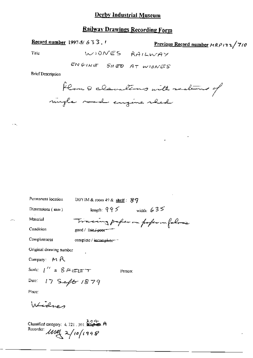## **Railway Drawings Recording Form**

Record number 1997-5/633,  $\ell$ 

Previous Record number  $A R \rho$ 132/710

Title

WIONES RAILWAY

ENGINE SHED AT WIDNES

**Brief Description** 

flom & clausting with redens of migle mode engine shed

| Permanent location                             | DBYIM & room 49 & shelf: $89$    |
|------------------------------------------------|----------------------------------|
| Dimensions $(mn)$                              | length: $995$<br>width: $635$    |
| Material                                       | Tracing paper on poper on falses |
| Condition                                      | good / fair / peor-              |
| Completeness                                   | complete / incomplete-           |
| Original drawing number                        |                                  |
| Company: $M R$                                 |                                  |
| Scale: $1'' = 8777$                            | Person:                          |
| Date: $17$ Seft $1879$                         |                                  |
| Place:                                         |                                  |
| مصطبحا                                         |                                  |
| Classified category: $4.721 - 301 = 4.6 + 6.6$ |                                  |

Recorder  $\mu$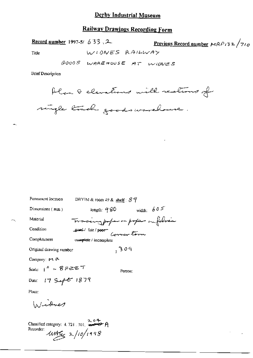# **Railway Drawings Recording Form**

Record number 1997-5/  $633.2$ 

Previous Record number  $MRP/32/710$ 

Title

GOODS WAREHOUSE AT WIDNES

WIONES RAILWAY

**Brief Description** 

Plan & elevations with realions of

single track goods workback.

| Permanent location           | DRYIM & room 49 & shelf: $87$    |  |  |
|------------------------------|----------------------------------|--|--|
| Dimensions $(mn)$            | width: $605$<br>length: $9\,80$  |  |  |
| Material                     | Tracing poper on poper on folice |  |  |
| Condition                    | good fair poor Corner tom        |  |  |
| Completeness                 | complete / incomplete            |  |  |
| Original drawing number      | , 309                            |  |  |
| Company: PL P                |                                  |  |  |
| Scale: $1'' = 8$ Fere $\tau$ | Person:                          |  |  |
| Date: 17 Sept 1879           |                                  |  |  |
| Place:                       |                                  |  |  |

Windnes

Classified category:  $4.721 \cdot 301$ ,  $2.04$ <br>P Recorder:  $4456 \times 100/1998$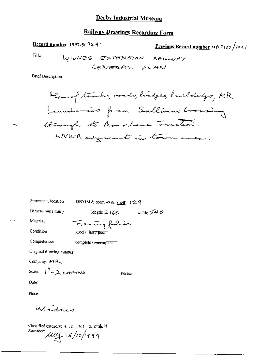# **Railway Drawings Recording Form**

Record number 1997-5/924-

Previous Record number MRP132/1021

Title

**Brief Description** 

Permanent location DBYIM & room 49 & shelf : [29

Dimensions (mm)

length:  $2160$  width:  $540$ 

Person:

Material

Francing folice

complete / incomplete ==

Condition

good / fair / poor

Original drawing number

Company: 44 P

Completeness

Scale:  $1^{\prime\prime}$  = 2 corrans

Date:

Place:

Widnes

Classified category: 4.721, 301, 2049<br>Recorder:<br> $\mathcal{U}\mathcal{U}\leftarrow 15/10/1999$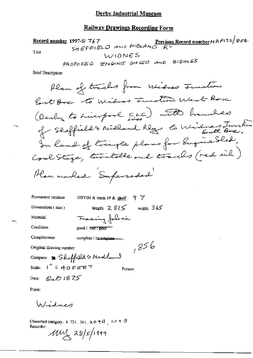# **Railway Drawings Recording Form**

SHEFFIELO AND MIDLAND RY<br>SHEFFIELO AND MIDLAND RY Record number 1997-5/767 Title WIDNES c5  $\sim$  and  $\sim$ 

**Brief Description** 

| Permanent location              | DBYIM & room 49 & shelf: $9 \ \ 7$ |
|---------------------------------|------------------------------------|
| Dimensions $(mn)$               | length: $2.815$<br>width: $365$    |
| Material                        | Facing folice                      |
| Condition                       | good / fair <del>7 poor</del>      |
| Completeness                    | complete / incomplete.             |
| Original drawing number         | ,856                               |
|                                 | Company: \$ Sheffield & Medland    |
| Scale: $1'' = 40$ FEET          | Person:                            |
| $Q_tE1875$<br>$\textbf{Date}$ : |                                    |

Place:

Widnes

Classified category: 4, 721, 301,  $20944$ ,  $2097$ Recorder;

 $100 \times 28$ /5/1999